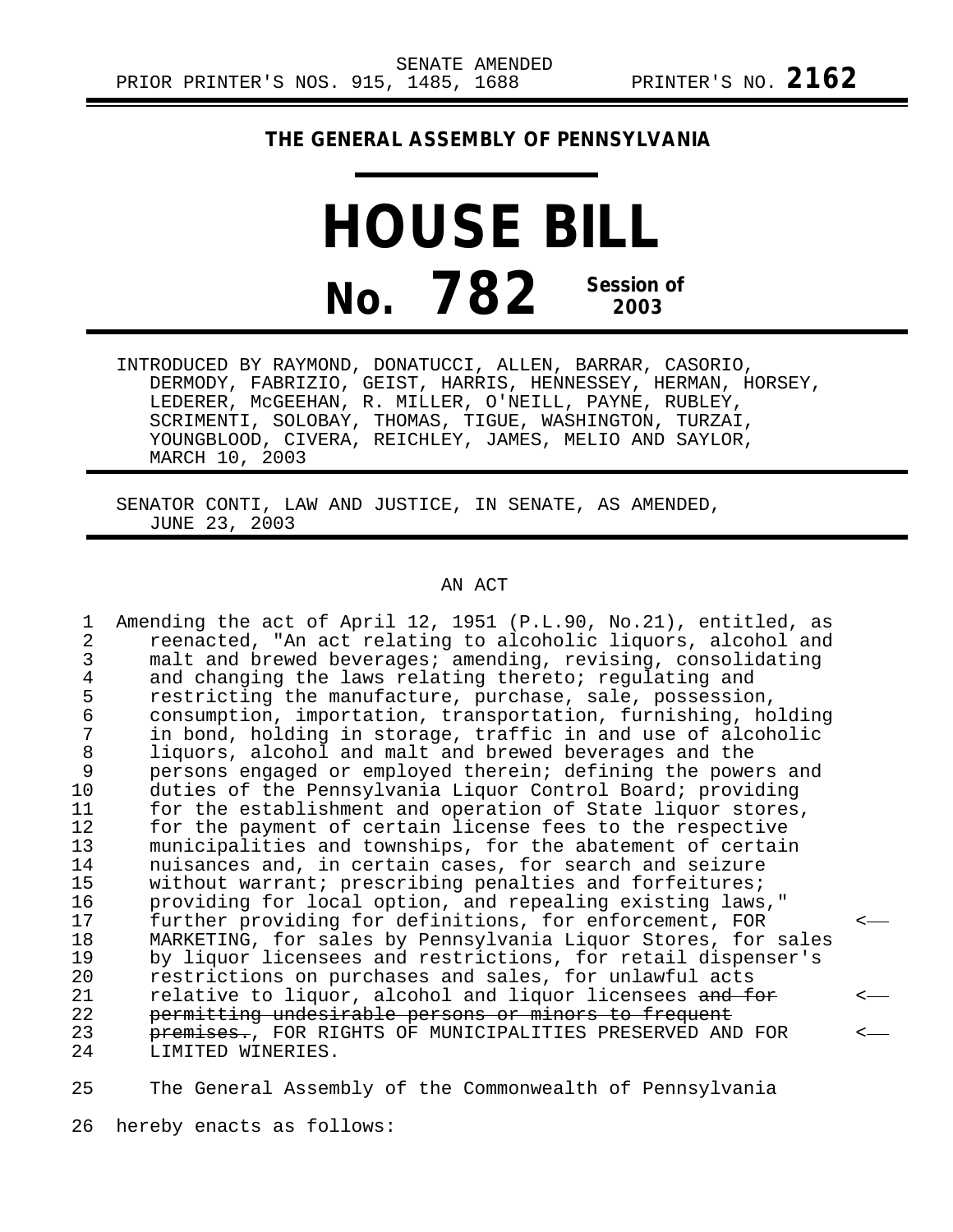## **THE GENERAL ASSEMBLY OF PENNSYLVANIA**

## **HOUSE BILL No. 782 Session of 2003**

INTRODUCED BY RAYMOND, DONATUCCI, ALLEN, BARRAR, CASORIO, DERMODY, FABRIZIO, GEIST, HARRIS, HENNESSEY, HERMAN, HORSEY, LEDERER, McGEEHAN, R. MILLER, O'NEILL, PAYNE, RUBLEY, SCRIMENTI, SOLOBAY, THOMAS, TIGUE, WASHINGTON, TURZAI, YOUNGBLOOD, CIVERA, REICHLEY, JAMES, MELIO AND SAYLOR, MARCH 10, 2003

SENATOR CONTI, LAW AND JUSTICE, IN SENATE, AS AMENDED, JUNE 23, 2003

## AN ACT

1 Amending the act of April 12, 1951 (P.L.90, No.21), entitled, as 2 reenacted, "An act relating to alcoholic liquors, alcohol and<br>3 malt and brewed beverages; amending, revising, consolidating 3 malt and brewed beverages; amending, revising, consolidating<br>4 and changing the laws relating thereto; regulating and 4 and changing the laws relating thereto; regulating and<br>5 restricting the manufacture, purchase, sale, possessio 5 restricting the manufacture, purchase, sale, possession,<br>6 consumption, importation, transportation, furnishing, ho 6 consumption, importation, transportation, furnishing, holding 7 in bond, holding in storage, traffic in and use of alcoholic<br>8 liquors, alcohol and malt and brewed beverages and the 8 liquors, alcohol and malt and brewed beverages and the<br>9 persons engaged or employed therein; defining the powe 9 persons engaged or employed therein; defining the powers and<br>10 duties of the Pennsylvania Liquor Control Board; providing 10 duties of the Pennsylvania Liquor Control Board; providing<br>11 for the establishment and operation of State liquor stores 11 for the establishment and operation of State liquor stores,<br>12 for the payment of certain license fees to the respective 12 for the payment of certain license fees to the respective<br>13 municipalities and townships, for the abatement of certain 13 municipalities and townships, for the abatement of certain<br>14 muisances and, in certain cases, for search and seizure 14 nuisances and, in certain cases, for search and seizure<br>15 without warrant; prescribing penalties and forfeitures; 15 without warrant; prescribing penalties and forfeitures;<br>16 providing for local option, and repealing existing laws 16 providing for local option, and repealing existing laws,"<br>17 further providing for definitions, for enforcement, FOR 17 further providing for definitions, for enforcement, FOR < 18 MARKETING, for sales by Pennsylvania Liquor Stores, for sales<br>19 by liquor licensees and restrictions, for retail dispenser's 19 by liquor licensees and restrictions, for retail dispenser's<br>20 mestrictions on purchases and sales, for unlawful acts 20 restrictions on purchases and sales, for unlawful acts<br>21 relative to liguor, alcohol and liguor licensees and f 21 relative to liquor, alcohol and liquor licensees and for<br>22 permitting undesirable persons or minors to frequent 22 permitting undesirable persons or minors to frequent<br>23 premises.. FOR RIGHTS OF MUNICIPALITIES PRESERVED AND 23 premises., FOR RIGHTS OF MUNICIPALITIES PRESERVED AND FOR  $\sim$ LIMITED WINERIES.

25 The General Assembly of the Commonwealth of Pennsylvania

26 hereby enacts as follows: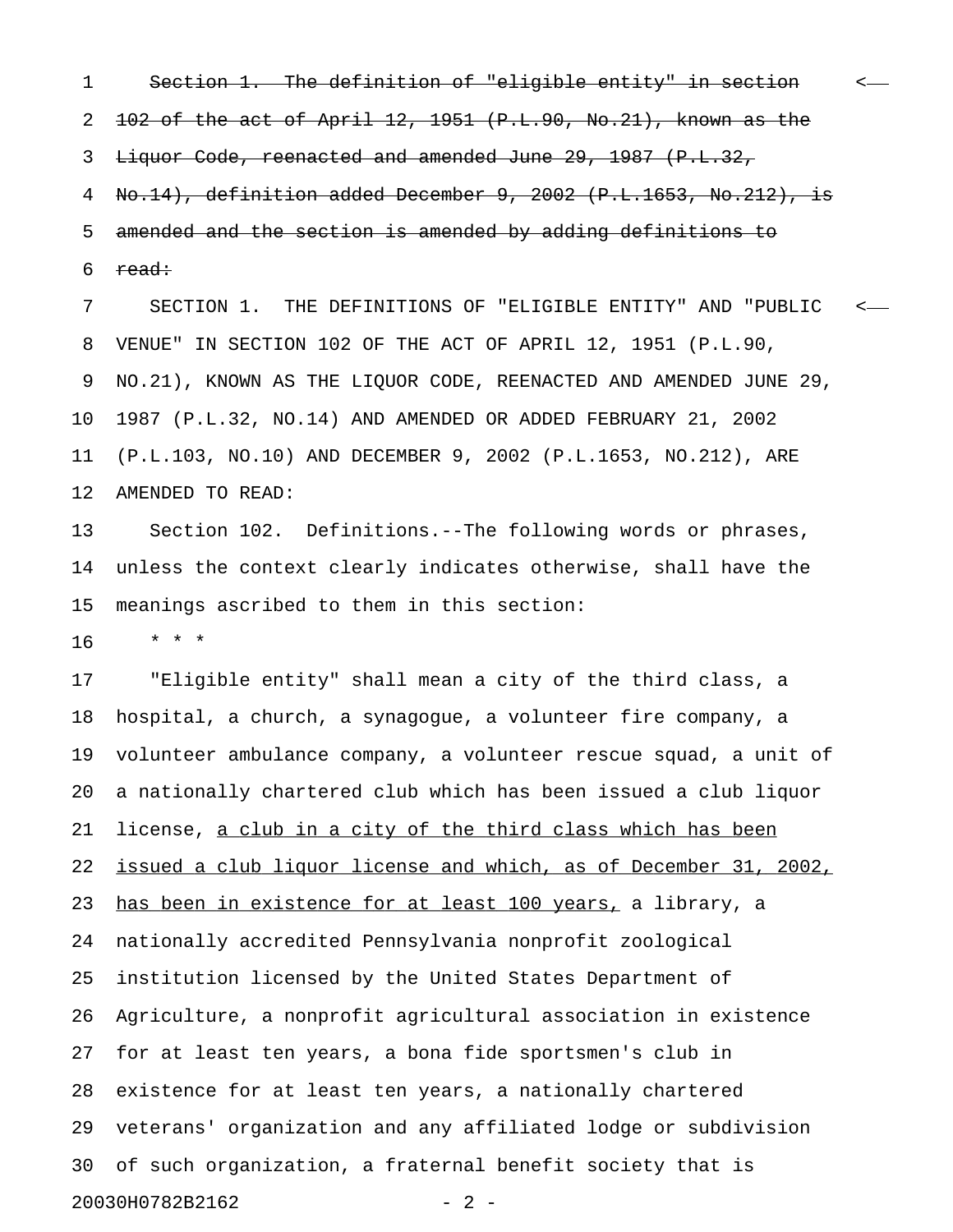1 Section 1. The definition of "eligible entity" in section  $\sim$ 2 102 of the act of April 12, 1951 (P.L.90, No.21), known as the 3 Liquor Code, reenacted and amended June 29, 1987 (P.L.32, 4 No.14), definition added December 9, 2002 (P.L.1653, No.212), is 5 amended and the section is amended by adding definitions to 6 <del>read:</del>

7 SECTION 1. THE DEFINITIONS OF "ELIGIBLE ENTITY" AND "PUBLIC < 8 VENUE" IN SECTION 102 OF THE ACT OF APRIL 12, 1951 (P.L.90, 9 NO.21), KNOWN AS THE LIQUOR CODE, REENACTED AND AMENDED JUNE 29, 10 1987 (P.L.32, NO.14) AND AMENDED OR ADDED FEBRUARY 21, 2002 11 (P.L.103, NO.10) AND DECEMBER 9, 2002 (P.L.1653, NO.212), ARE 12 AMENDED TO READ:

13 Section 102. Definitions.--The following words or phrases, 14 unless the context clearly indicates otherwise, shall have the 15 meanings ascribed to them in this section:

16 \* \* \*

17 "Eligible entity" shall mean a city of the third class, a 18 hospital, a church, a synagogue, a volunteer fire company, a 19 volunteer ambulance company, a volunteer rescue squad, a unit of 20 a nationally chartered club which has been issued a club liquor 21 license, a club in a city of the third class which has been 22 issued a club liquor license and which, as of December 31, 2002, 23 has been in existence for at least 100 years, a library, a 24 nationally accredited Pennsylvania nonprofit zoological 25 institution licensed by the United States Department of 26 Agriculture, a nonprofit agricultural association in existence 27 for at least ten years, a bona fide sportsmen's club in 28 existence for at least ten years, a nationally chartered 29 veterans' organization and any affiliated lodge or subdivision 30 of such organization, a fraternal benefit society that is 20030H0782B2162 - 2 -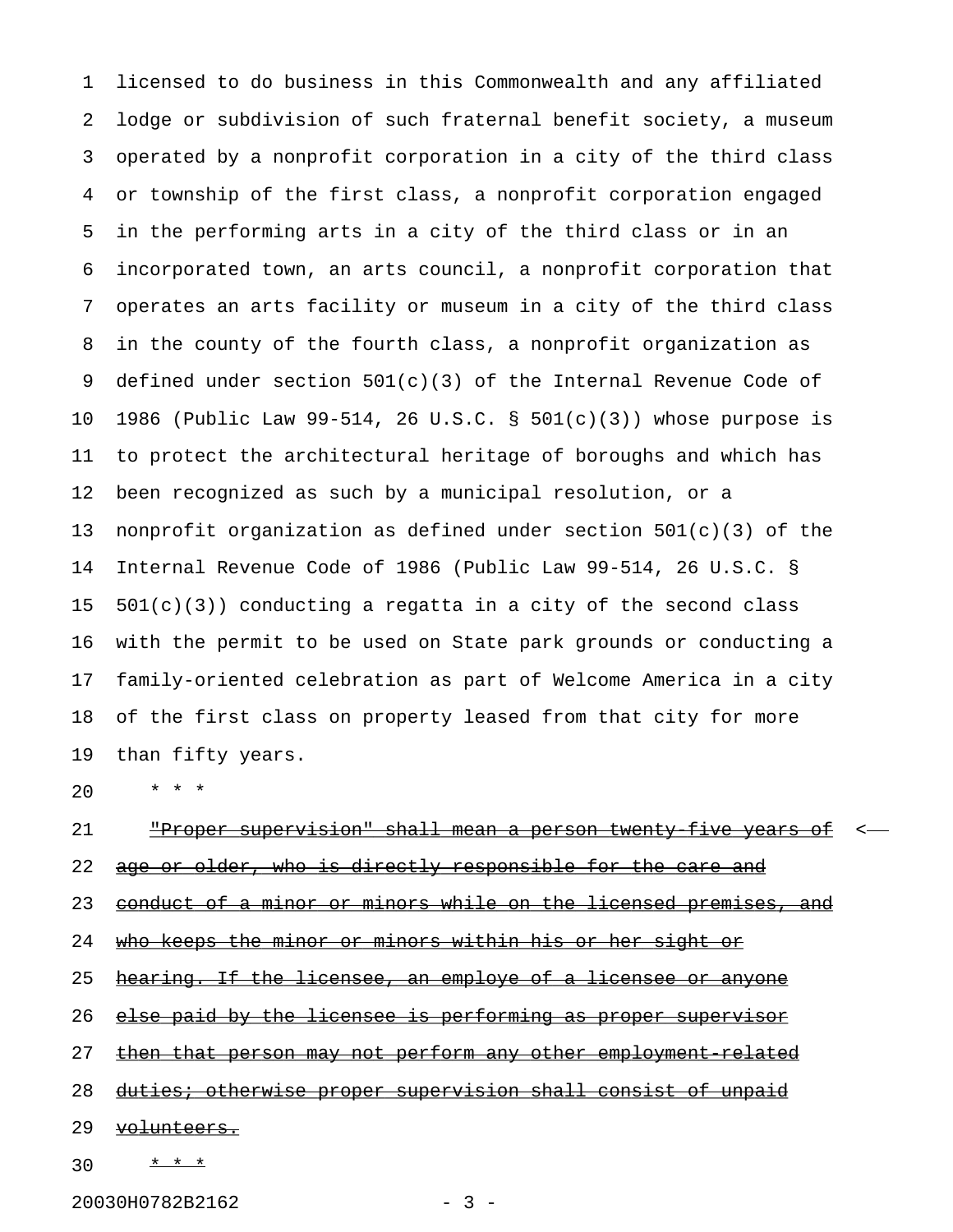1 licensed to do business in this Commonwealth and any affiliated 2 lodge or subdivision of such fraternal benefit society, a museum 3 operated by a nonprofit corporation in a city of the third class 4 or township of the first class, a nonprofit corporation engaged 5 in the performing arts in a city of the third class or in an 6 incorporated town, an arts council, a nonprofit corporation that 7 operates an arts facility or museum in a city of the third class 8 in the county of the fourth class, a nonprofit organization as 9 defined under section 501(c)(3) of the Internal Revenue Code of 10 1986 (Public Law 99-514, 26 U.S.C. § 501(c)(3)) whose purpose is 11 to protect the architectural heritage of boroughs and which has 12 been recognized as such by a municipal resolution, or a 13 nonprofit organization as defined under section 501(c)(3) of the 14 Internal Revenue Code of 1986 (Public Law 99-514, 26 U.S.C. §  $15$   $501(c)(3)$  conducting a regatta in a city of the second class 16 with the permit to be used on State park grounds or conducting a 17 family-oriented celebration as part of Welcome America in a city 18 of the first class on property leased from that city for more 19 than fifty years.

20 \* \* \*

21 <u>"Proper supervision" shall mean a person twenty five years of</u> <-22 age or older, who is directly responsible for the care and 23 conduct of a minor or minors while on the licensed premises, and 24 who keeps the minor or minors within his or her sight or 25 hearing. If the licensee, an employe of a licensee or anyone 26 else paid by the licensee is performing as proper supervisor 27 then that person may not perform any other employment related 28 duties; otherwise proper supervision shall consist of unpaid 29 volunteers. 30 \* \* \* \*

20030H0782B2162 - 3 -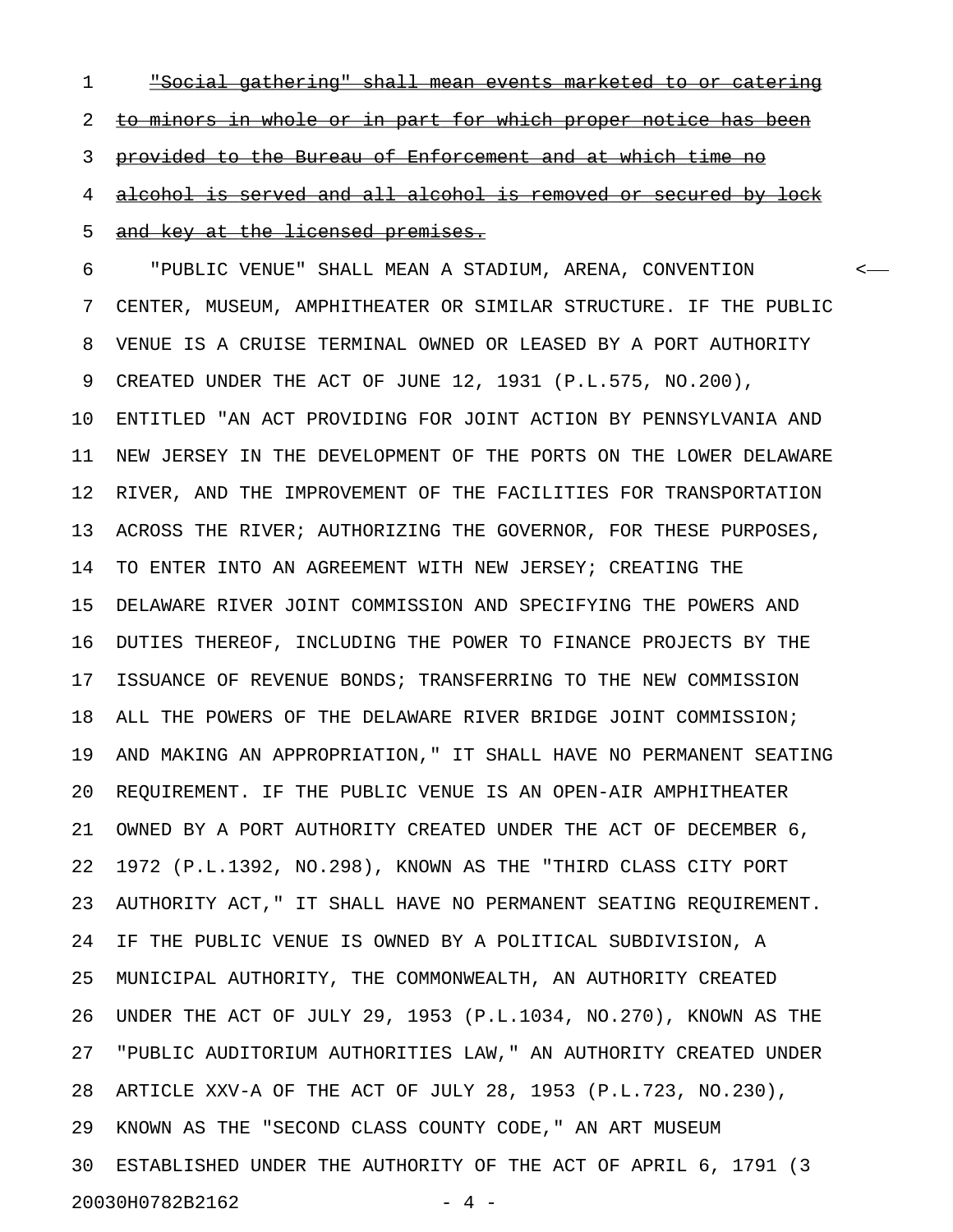1 - The social gathering" shall mean events marketed to or catering

2 to minors in whole or in part for which proper notice has been

3 provided to the Bureau of Enforcement and at which time no

4 alcohol is served and all alcohol is removed or secured by lock

## 5 and key at the licensed premises.

6 "PUBLIC VENUE" SHALL MEAN A STADIUM, ARENA, CONVENTION < 7 CENTER, MUSEUM, AMPHITHEATER OR SIMILAR STRUCTURE. IF THE PUBLIC 8 VENUE IS A CRUISE TERMINAL OWNED OR LEASED BY A PORT AUTHORITY 9 CREATED UNDER THE ACT OF JUNE 12, 1931 (P.L.575, NO.200), 10 ENTITLED "AN ACT PROVIDING FOR JOINT ACTION BY PENNSYLVANIA AND 11 NEW JERSEY IN THE DEVELOPMENT OF THE PORTS ON THE LOWER DELAWARE 12 RIVER, AND THE IMPROVEMENT OF THE FACILITIES FOR TRANSPORTATION 13 ACROSS THE RIVER; AUTHORIZING THE GOVERNOR, FOR THESE PURPOSES, 14 TO ENTER INTO AN AGREEMENT WITH NEW JERSEY; CREATING THE 15 DELAWARE RIVER JOINT COMMISSION AND SPECIFYING THE POWERS AND 16 DUTIES THEREOF, INCLUDING THE POWER TO FINANCE PROJECTS BY THE 17 ISSUANCE OF REVENUE BONDS; TRANSFERRING TO THE NEW COMMISSION 18 ALL THE POWERS OF THE DELAWARE RIVER BRIDGE JOINT COMMISSION; 19 AND MAKING AN APPROPRIATION," IT SHALL HAVE NO PERMANENT SEATING 20 REQUIREMENT. IF THE PUBLIC VENUE IS AN OPEN-AIR AMPHITHEATER 21 OWNED BY A PORT AUTHORITY CREATED UNDER THE ACT OF DECEMBER 6, 22 1972 (P.L.1392, NO.298), KNOWN AS THE "THIRD CLASS CITY PORT 23 AUTHORITY ACT," IT SHALL HAVE NO PERMANENT SEATING REQUIREMENT. 24 IF THE PUBLIC VENUE IS OWNED BY A POLITICAL SUBDIVISION, A 25 MUNICIPAL AUTHORITY, THE COMMONWEALTH, AN AUTHORITY CREATED 26 UNDER THE ACT OF JULY 29, 1953 (P.L.1034, NO.270), KNOWN AS THE 27 "PUBLIC AUDITORIUM AUTHORITIES LAW," AN AUTHORITY CREATED UNDER 28 ARTICLE XXV-A OF THE ACT OF JULY 28, 1953 (P.L.723, NO.230), 29 KNOWN AS THE "SECOND CLASS COUNTY CODE," AN ART MUSEUM 30 ESTABLISHED UNDER THE AUTHORITY OF THE ACT OF APRIL 6, 1791 (3

20030H0782B2162 - 4 -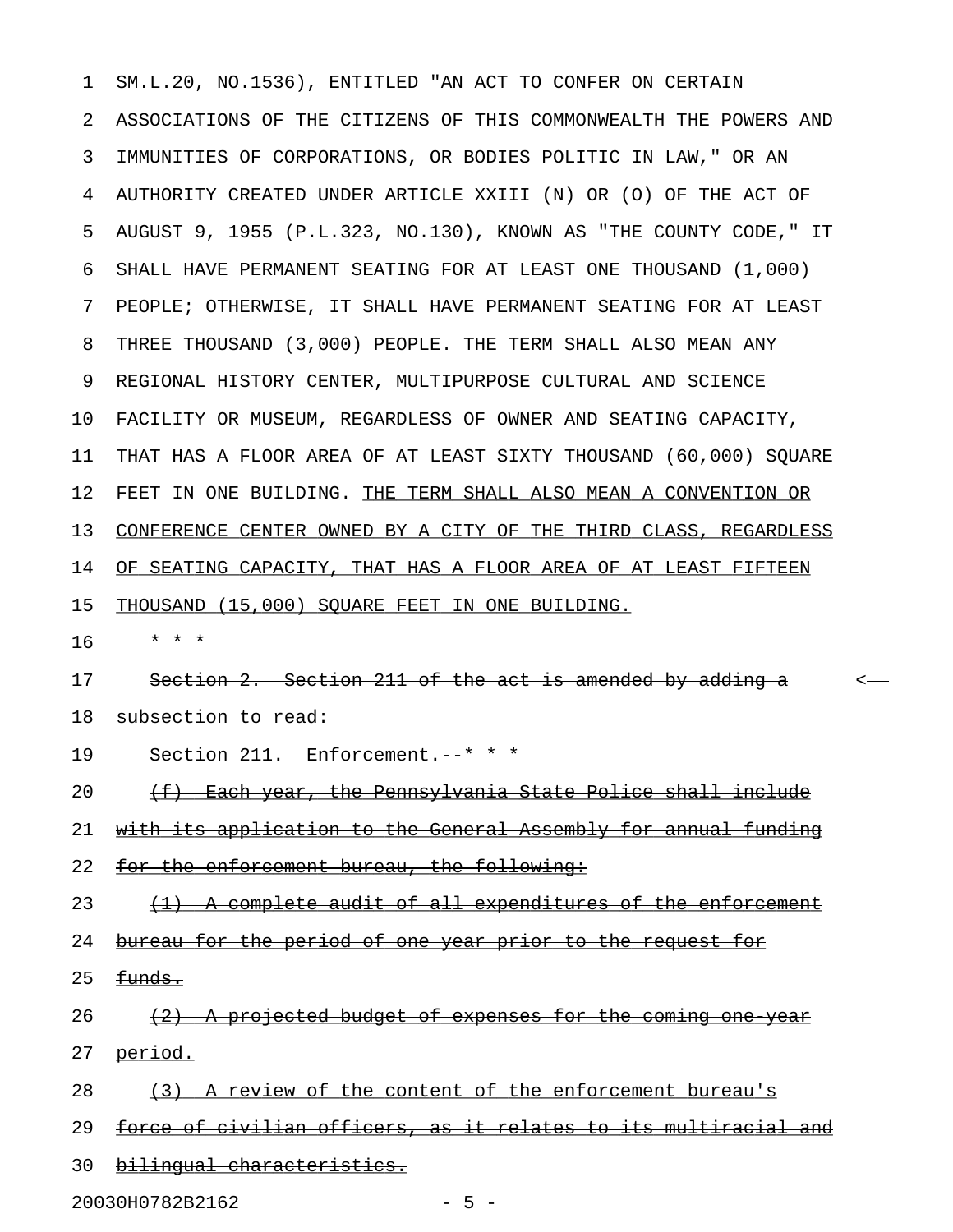1 SM.L.20, NO.1536), ENTITLED "AN ACT TO CONFER ON CERTAIN 2 ASSOCIATIONS OF THE CITIZENS OF THIS COMMONWEALTH THE POWERS AND 3 IMMUNITIES OF CORPORATIONS, OR BODIES POLITIC IN LAW," OR AN 4 AUTHORITY CREATED UNDER ARTICLE XXIII (N) OR (O) OF THE ACT OF 5 AUGUST 9, 1955 (P.L.323, NO.130), KNOWN AS "THE COUNTY CODE," IT 6 SHALL HAVE PERMANENT SEATING FOR AT LEAST ONE THOUSAND (1,000) 7 PEOPLE; OTHERWISE, IT SHALL HAVE PERMANENT SEATING FOR AT LEAST 8 THREE THOUSAND (3,000) PEOPLE. THE TERM SHALL ALSO MEAN ANY 9 REGIONAL HISTORY CENTER, MULTIPURPOSE CULTURAL AND SCIENCE 10 FACILITY OR MUSEUM, REGARDLESS OF OWNER AND SEATING CAPACITY, 11 THAT HAS A FLOOR AREA OF AT LEAST SIXTY THOUSAND (60,000) SQUARE 12 FEET IN ONE BUILDING. THE TERM SHALL ALSO MEAN A CONVENTION OR 13 CONFERENCE CENTER OWNED BY A CITY OF THE THIRD CLASS, REGARDLESS 14 OF SEATING CAPACITY, THAT HAS A FLOOR AREA OF AT LEAST FIFTEEN 15 THOUSAND (15,000) SQUARE FEET IN ONE BUILDING. 16 \* \* \* 17 Section 2. Section 211 of the act is amended by adding a  $\sim$ 

18 subsection to read:

19 Section 211. Enforcement. \* \* \*

 $20 \longrightarrow \text{f}$  Each year, the Pennsylvania State Police shall include

21 with its application to the General Assembly for annual funding

22 for the enforcement bureau, the following:

23  $(1)$  A complete audit of all expenditures of the enforcement

24 bureau for the period of one year prior to the request for

 $25$   $~~fungs~~$ .</del>

26  $(2)$  A projected budget of expenses for the coming one year

27 period.

28  $(3)$  A review of the content of the enforcement bureau's

29 force of civilian officers, as it relates to its multiracial and

30 bilingual characteristics.

20030H0782B2162 - 5 -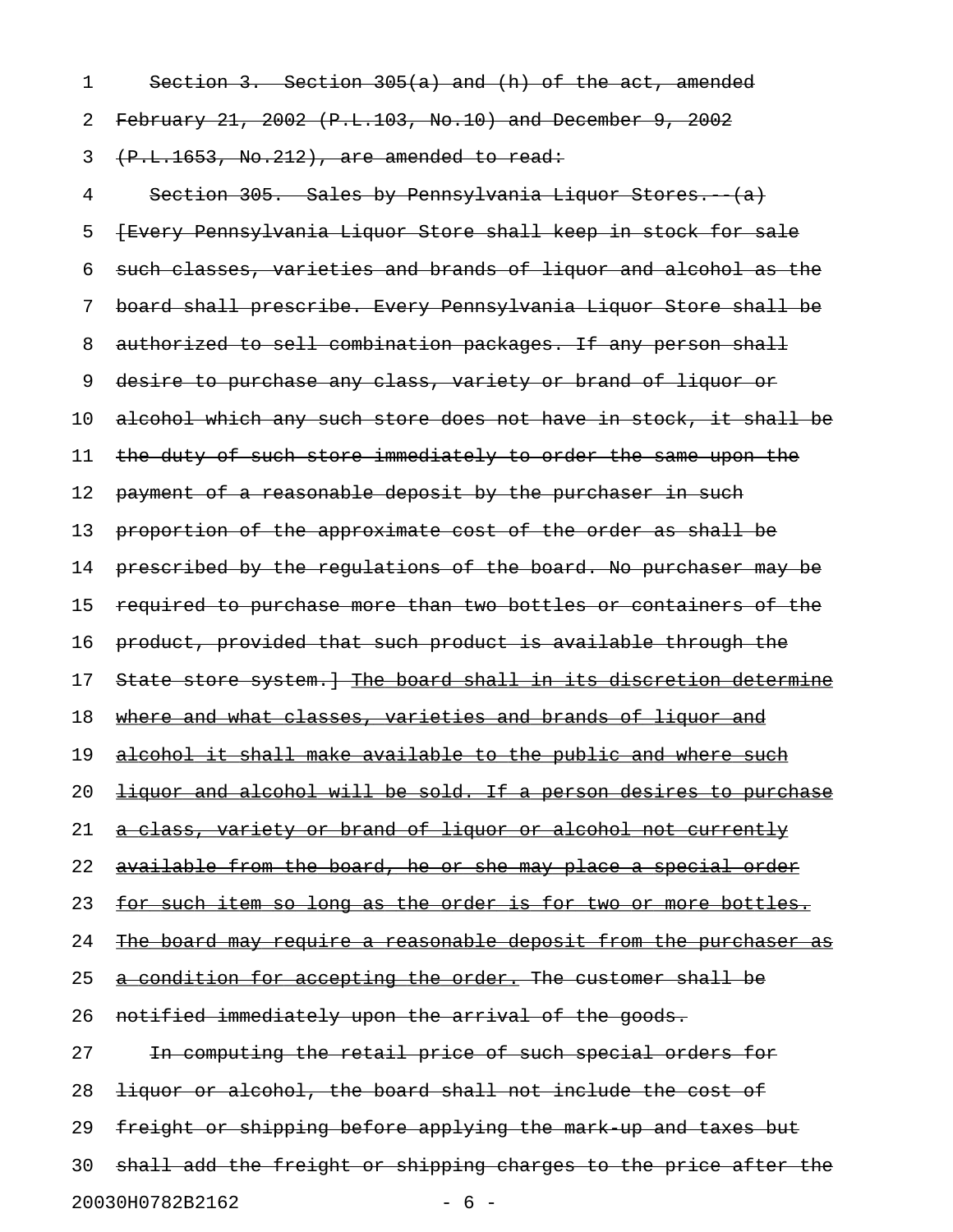1 Section 3. Section 305(a) and (h) of the act, amended 2 February 21, 2002 (P.L.103, No.10) and December 9, 2002  $3$   $(P.L.1653, No.212)$ , are amended to read: 4 Section 305. Sales by Pennsylvania Liquor Stores. (a) 5 [Every Pennsylvania Liquor Store shall keep in stock for sale 6 such classes, varieties and brands of liquor and alcohol as the 7 board shall prescribe. Every Pennsylvania Liquor Store shall be 8 authorized to sell combination packages. If any person shall 9 desire to purchase any class, variety or brand of liquor or 10 alcohol which any such store does not have in stock, it shall be 11 the duty of such store immediately to order the same upon the 12 payment of a reasonable deposit by the purchaser in such 13 proportion of the approximate cost of the order as shall be 14 prescribed by the regulations of the board. No purchaser may be 15 required to purchase more than two bottles or containers of the 16 product, provided that such product is available through the 17 State store system.] The board shall in its discretion determine 18 where and what classes, varieties and brands of liquor and 19 alcohol it shall make available to the public and where such 20 <del>liquor and alcohol will be sold. If a person desires to purchase</del> 21 a class, variety or brand of liquor or alcohol not currently 22 available from the board, he or she may place a special order 23 for such item so long as the order is for two or more bottles. 24 The board may require a reasonable deposit from the purchaser as 25 a condition for accepting the order. The customer shall be 26 notified immediately upon the arrival of the goods. 27 In computing the retail price of such special orders for 28 <del>liquor or alcohol, the board shall not include the cost of</del> 29 freight or shipping before applying the mark-up and taxes but 30 shall add the freight or shipping charges to the price after the

20030H0782B2162 - 6 -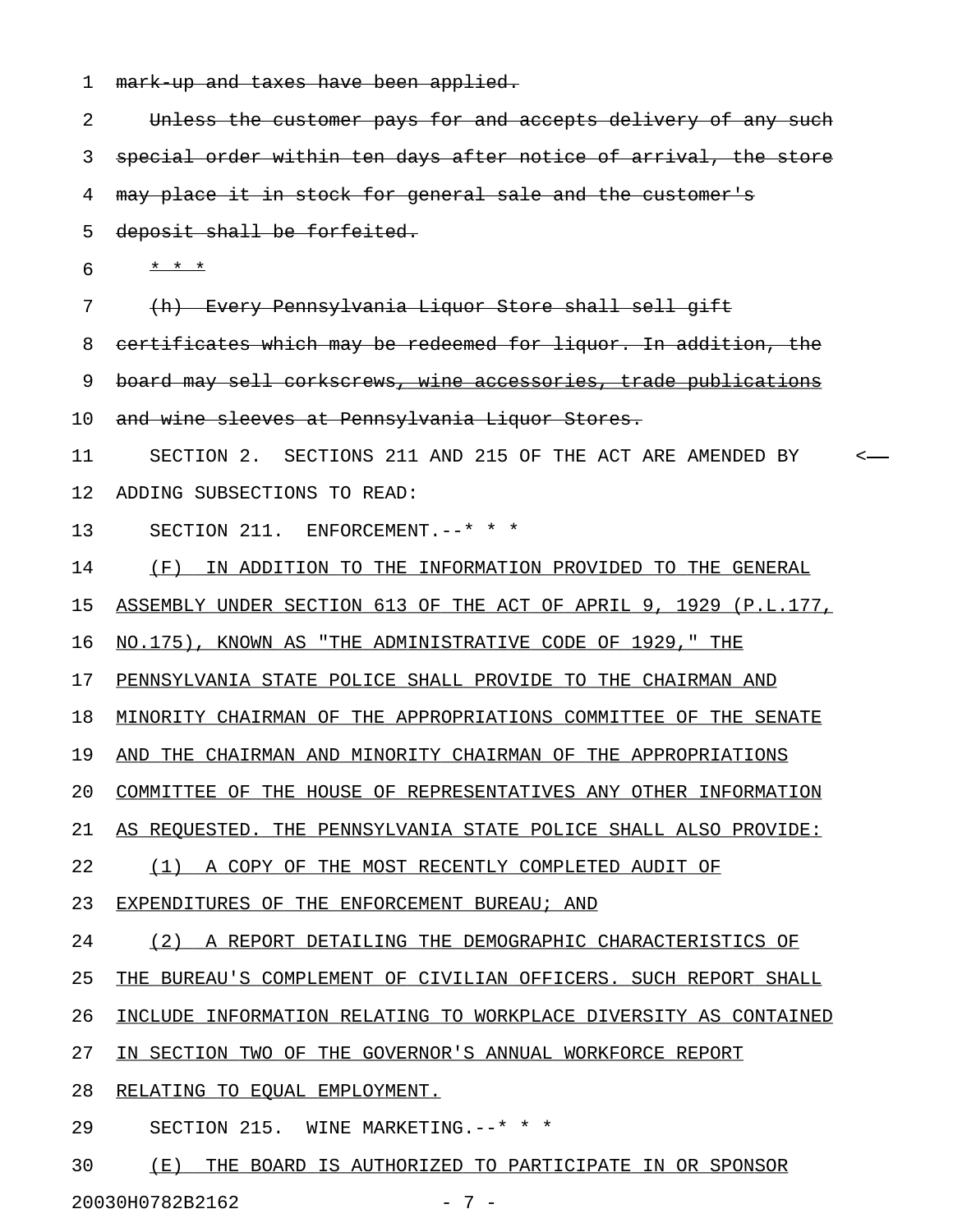1 mark-up and taxes have been applied. 2 Unless the customer pays for and accepts delivery of any such 3 special order within ten days after notice of arrival, the store 4 may place it in stock for general sale and the customer's 5 deposit shall be forfeited. 6  $* * *$ 7 (h) Every Pennsylvania Liquor Store shall sell gift 8 certificates which may be redeemed for liquor. In addition, the 9 board may sell corkscrews, wine accessories, trade publications 10 and wine sleeves at Pennsylvania Liquor Stores. 11 SECTION 2. SECTIONS 211 AND 215 OF THE ACT ARE AMENDED BY < 12 ADDING SUBSECTIONS TO READ: 13 SECTION 211. ENFORCEMENT. --\* \* \* 14 (F) IN ADDITION TO THE INFORMATION PROVIDED TO THE GENERAL 15 ASSEMBLY UNDER SECTION 613 OF THE ACT OF APRIL 9, 1929 (P.L.177, 16 NO.175), KNOWN AS "THE ADMINISTRATIVE CODE OF 1929," THE 17 PENNSYLVANIA STATE POLICE SHALL PROVIDE TO THE CHAIRMAN AND 18 MINORITY CHAIRMAN OF THE APPROPRIATIONS COMMITTEE OF THE SENATE 19 AND THE CHAIRMAN AND MINORITY CHAIRMAN OF THE APPROPRIATIONS 20 COMMITTEE OF THE HOUSE OF REPRESENTATIVES ANY OTHER INFORMATION 21 AS REQUESTED. THE PENNSYLVANIA STATE POLICE SHALL ALSO PROVIDE: 22 (1) A COPY OF THE MOST RECENTLY COMPLETED AUDIT OF 23 EXPENDITURES OF THE ENFORCEMENT BUREAU; AND 24 (2) A REPORT DETAILING THE DEMOGRAPHIC CHARACTERISTICS OF 25 THE BUREAU'S COMPLEMENT OF CIVILIAN OFFICERS. SUCH REPORT SHALL 26 INCLUDE INFORMATION RELATING TO WORKPLACE DIVERSITY AS CONTAINED 27 IN SECTION TWO OF THE GOVERNOR'S ANNUAL WORKFORCE REPORT 28 RELATING TO EQUAL EMPLOYMENT. 29 SECTION 215. WINE MARKETING.--\* \* \* 30 (E) THE BOARD IS AUTHORIZED TO PARTICIPATE IN OR SPONSOR

20030H0782B2162 - 7 -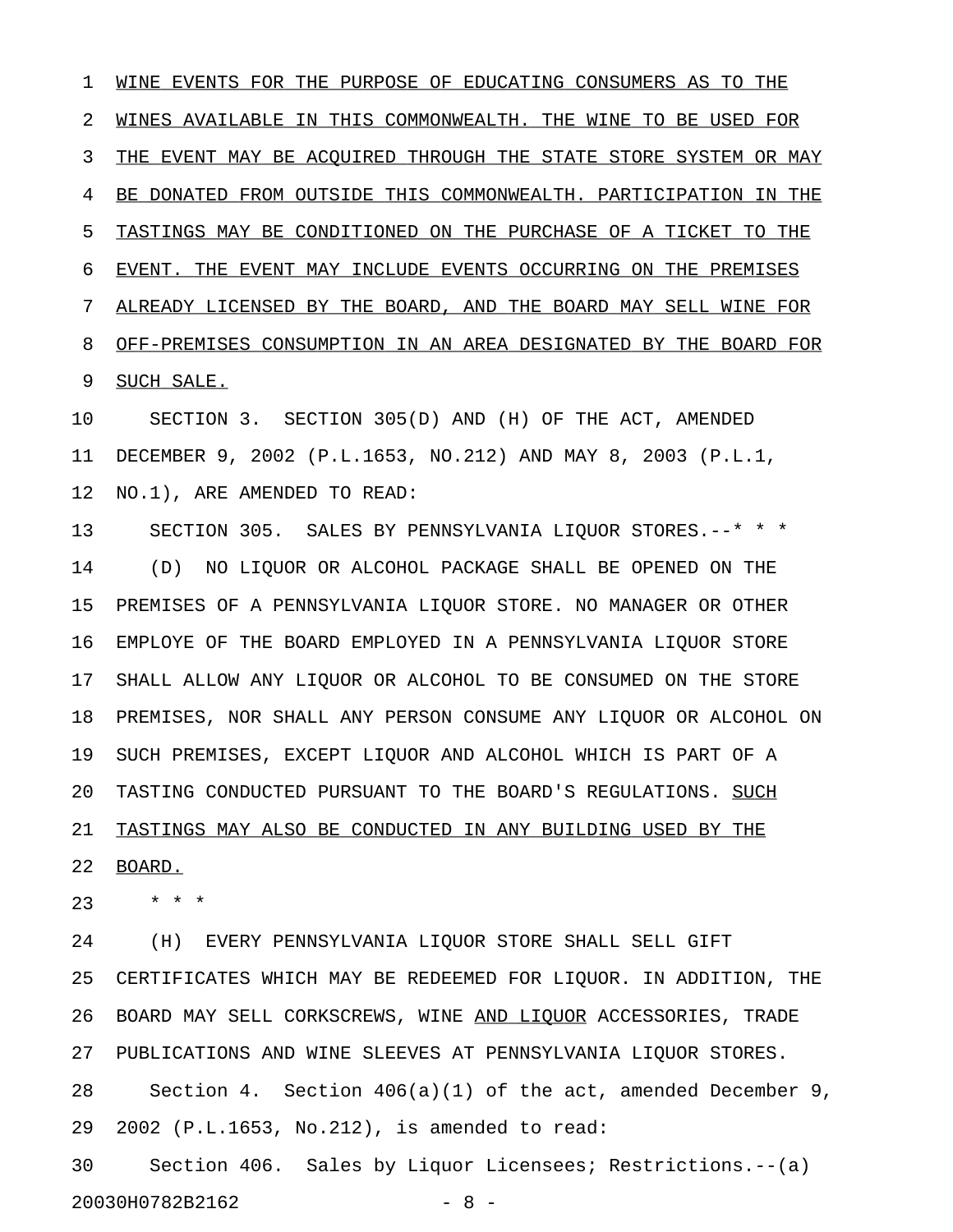1 WINE EVENTS FOR THE PURPOSE OF EDUCATING CONSUMERS AS TO THE 2 WINES AVAILABLE IN THIS COMMONWEALTH. THE WINE TO BE USED FOR 3 THE EVENT MAY BE ACQUIRED THROUGH THE STATE STORE SYSTEM OR MAY 4 BE DONATED FROM OUTSIDE THIS COMMONWEALTH. PARTICIPATION IN THE 5 TASTINGS MAY BE CONDITIONED ON THE PURCHASE OF A TICKET TO THE 6 EVENT. THE EVENT MAY INCLUDE EVENTS OCCURRING ON THE PREMISES 7 ALREADY LICENSED BY THE BOARD, AND THE BOARD MAY SELL WINE FOR 8 OFF-PREMISES CONSUMPTION IN AN AREA DESIGNATED BY THE BOARD FOR 9 SUCH SALE.

10 SECTION 3. SECTION 305(D) AND (H) OF THE ACT, AMENDED 11 DECEMBER 9, 2002 (P.L.1653, NO.212) AND MAY 8, 2003 (P.L.1, 12 NO.1), ARE AMENDED TO READ:

13 SECTION 305. SALES BY PENNSYLVANIA LIQUOR STORES.--\* \* \* 14 (D) NO LIQUOR OR ALCOHOL PACKAGE SHALL BE OPENED ON THE 15 PREMISES OF A PENNSYLVANIA LIQUOR STORE. NO MANAGER OR OTHER 16 EMPLOYE OF THE BOARD EMPLOYED IN A PENNSYLVANIA LIQUOR STORE 17 SHALL ALLOW ANY LIQUOR OR ALCOHOL TO BE CONSUMED ON THE STORE 18 PREMISES, NOR SHALL ANY PERSON CONSUME ANY LIQUOR OR ALCOHOL ON 19 SUCH PREMISES, EXCEPT LIQUOR AND ALCOHOL WHICH IS PART OF A 20 TASTING CONDUCTED PURSUANT TO THE BOARD'S REGULATIONS. SUCH 21 TASTINGS MAY ALSO BE CONDUCTED IN ANY BUILDING USED BY THE 22 BOARD.

23 \* \* \*

24 (H) EVERY PENNSYLVANIA LIQUOR STORE SHALL SELL GIFT 25 CERTIFICATES WHICH MAY BE REDEEMED FOR LIQUOR. IN ADDITION, THE 26 BOARD MAY SELL CORKSCREWS, WINE AND LIQUOR ACCESSORIES, TRADE 27 PUBLICATIONS AND WINE SLEEVES AT PENNSYLVANIA LIQUOR STORES. 28 Section 4. Section 406(a)(1) of the act, amended December 9, 29 2002 (P.L.1653, No.212), is amended to read: 30 Section 406. Sales by Liquor Licensees; Restrictions.--(a)

```
20030H0782B2162 - 8 -
```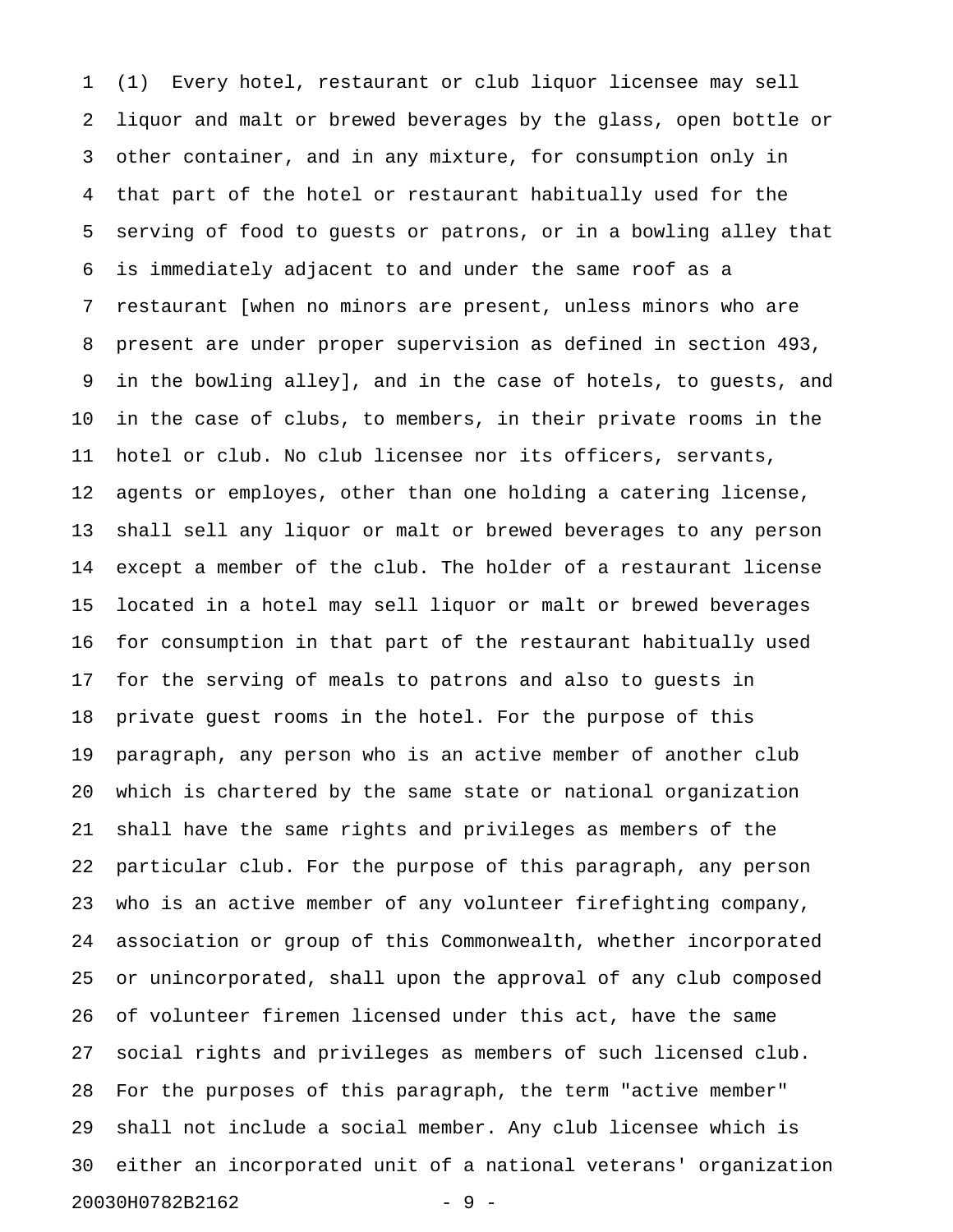1 (1) Every hotel, restaurant or club liquor licensee may sell 2 liquor and malt or brewed beverages by the glass, open bottle or 3 other container, and in any mixture, for consumption only in 4 that part of the hotel or restaurant habitually used for the 5 serving of food to guests or patrons, or in a bowling alley that 6 is immediately adjacent to and under the same roof as a 7 restaurant [when no minors are present, unless minors who are 8 present are under proper supervision as defined in section 493, 9 in the bowling alley], and in the case of hotels, to guests, and 10 in the case of clubs, to members, in their private rooms in the 11 hotel or club. No club licensee nor its officers, servants, 12 agents or employes, other than one holding a catering license, 13 shall sell any liquor or malt or brewed beverages to any person 14 except a member of the club. The holder of a restaurant license 15 located in a hotel may sell liquor or malt or brewed beverages 16 for consumption in that part of the restaurant habitually used 17 for the serving of meals to patrons and also to guests in 18 private guest rooms in the hotel. For the purpose of this 19 paragraph, any person who is an active member of another club 20 which is chartered by the same state or national organization 21 shall have the same rights and privileges as members of the 22 particular club. For the purpose of this paragraph, any person 23 who is an active member of any volunteer firefighting company, 24 association or group of this Commonwealth, whether incorporated 25 or unincorporated, shall upon the approval of any club composed 26 of volunteer firemen licensed under this act, have the same 27 social rights and privileges as members of such licensed club. 28 For the purposes of this paragraph, the term "active member" 29 shall not include a social member. Any club licensee which is 30 either an incorporated unit of a national veterans' organization 20030H0782B2162 - 9 -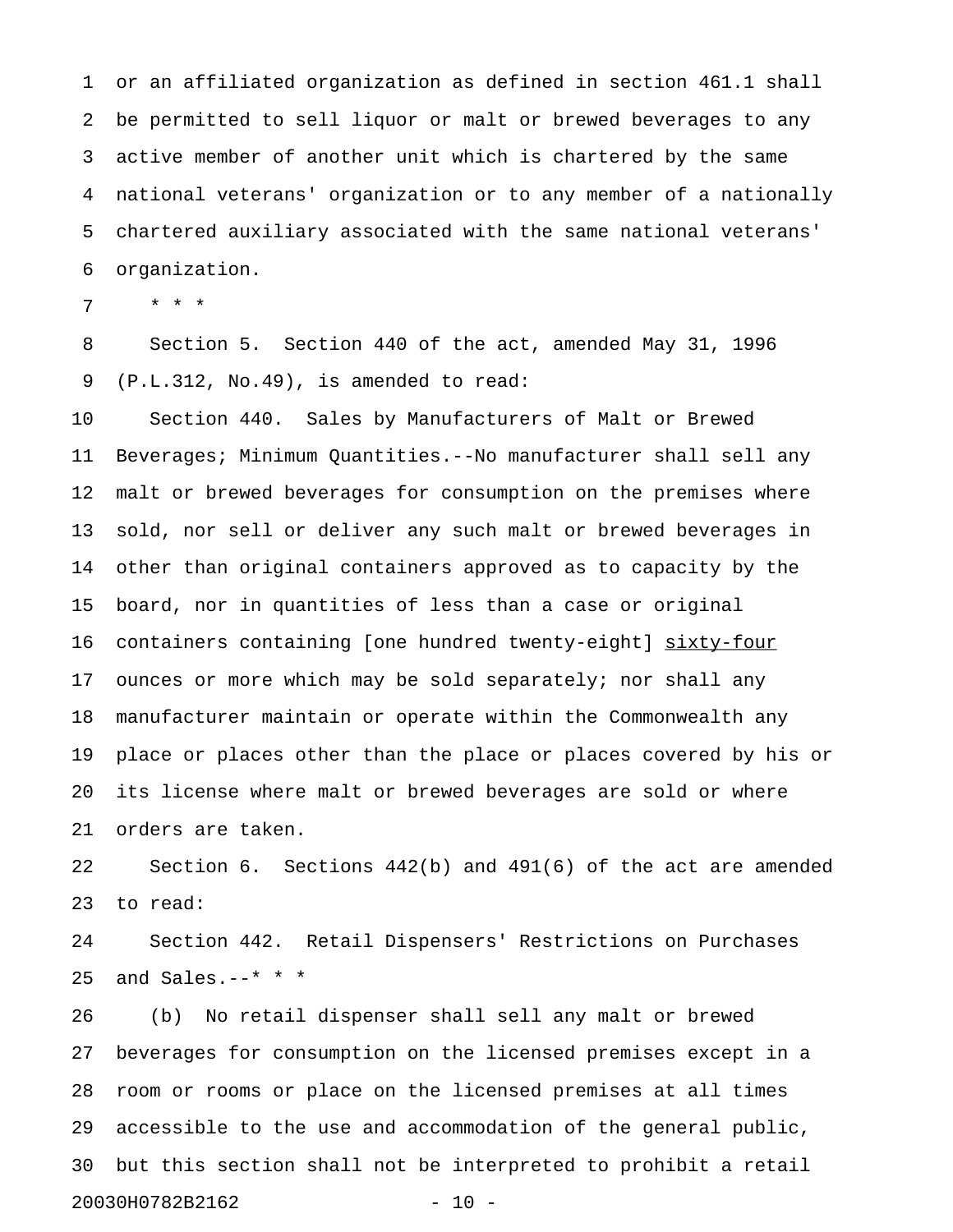1 or an affiliated organization as defined in section 461.1 shall 2 be permitted to sell liquor or malt or brewed beverages to any 3 active member of another unit which is chartered by the same 4 national veterans' organization or to any member of a nationally 5 chartered auxiliary associated with the same national veterans' 6 organization.

7 \* \* \*

8 Section 5. Section 440 of the act, amended May 31, 1996 9 (P.L.312, No.49), is amended to read:

10 Section 440. Sales by Manufacturers of Malt or Brewed 11 Beverages; Minimum Quantities.--No manufacturer shall sell any 12 malt or brewed beverages for consumption on the premises where 13 sold, nor sell or deliver any such malt or brewed beverages in 14 other than original containers approved as to capacity by the 15 board, nor in quantities of less than a case or original 16 containers containing [one hundred twenty-eight] sixty-four 17 ounces or more which may be sold separately; nor shall any 18 manufacturer maintain or operate within the Commonwealth any 19 place or places other than the place or places covered by his or 20 its license where malt or brewed beverages are sold or where 21 orders are taken.

22 Section 6. Sections 442(b) and 491(6) of the act are amended 23 to read:

24 Section 442. Retail Dispensers' Restrictions on Purchases 25 and Sales.--\* \* \*

26 (b) No retail dispenser shall sell any malt or brewed 27 beverages for consumption on the licensed premises except in a 28 room or rooms or place on the licensed premises at all times 29 accessible to the use and accommodation of the general public, 30 but this section shall not be interpreted to prohibit a retail 20030H0782B2162 - 10 -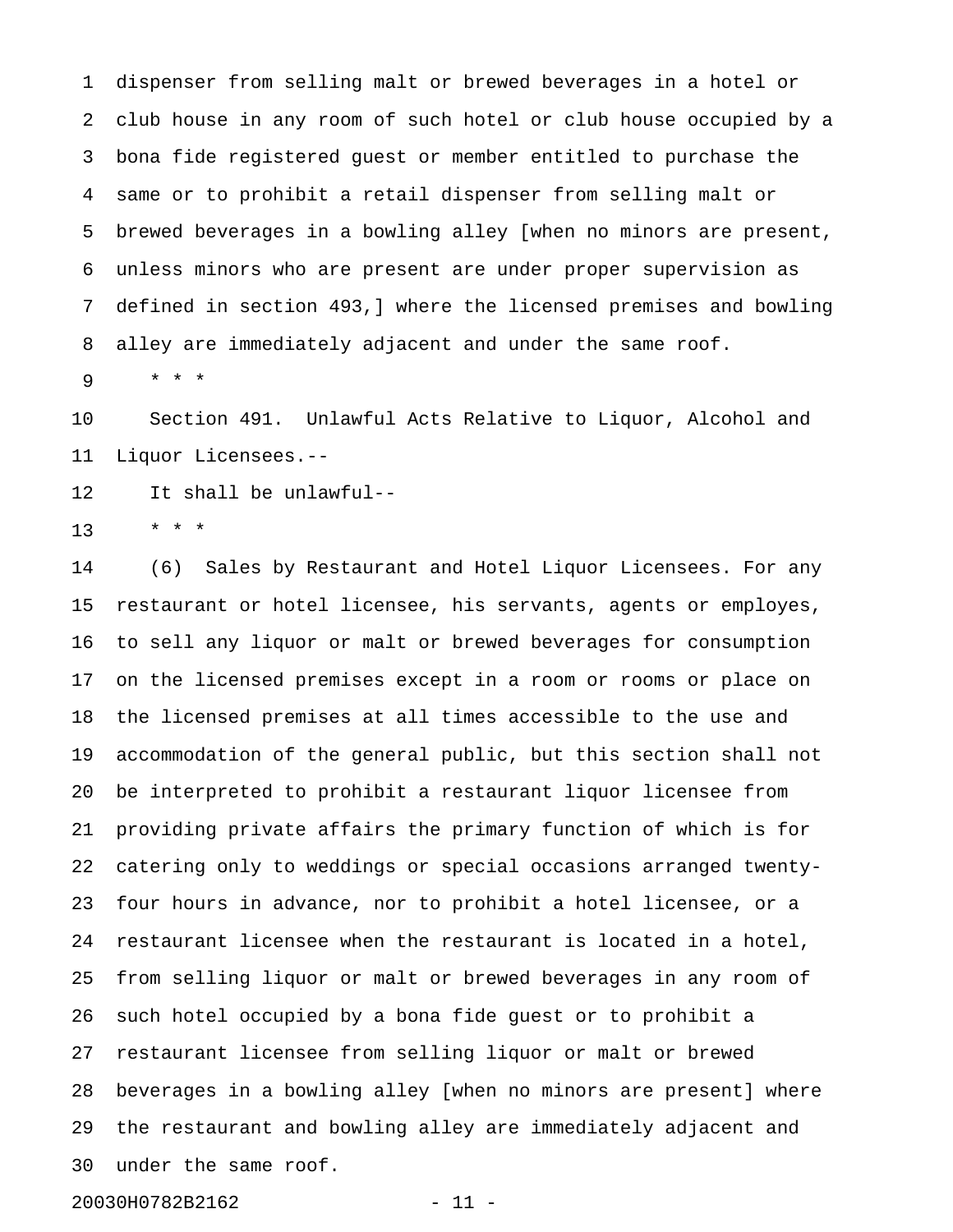1 dispenser from selling malt or brewed beverages in a hotel or 2 club house in any room of such hotel or club house occupied by a 3 bona fide registered guest or member entitled to purchase the 4 same or to prohibit a retail dispenser from selling malt or 5 brewed beverages in a bowling alley [when no minors are present, 6 unless minors who are present are under proper supervision as 7 defined in section 493,] where the licensed premises and bowling 8 alley are immediately adjacent and under the same roof.

9 \* \* \*

10 Section 491. Unlawful Acts Relative to Liquor, Alcohol and 11 Liquor Licensees.--

12 It shall be unlawful--

13 \* \* \*

14 (6) Sales by Restaurant and Hotel Liquor Licensees. For any 15 restaurant or hotel licensee, his servants, agents or employes, 16 to sell any liquor or malt or brewed beverages for consumption 17 on the licensed premises except in a room or rooms or place on 18 the licensed premises at all times accessible to the use and 19 accommodation of the general public, but this section shall not 20 be interpreted to prohibit a restaurant liquor licensee from 21 providing private affairs the primary function of which is for 22 catering only to weddings or special occasions arranged twenty-23 four hours in advance, nor to prohibit a hotel licensee, or a 24 restaurant licensee when the restaurant is located in a hotel, 25 from selling liquor or malt or brewed beverages in any room of 26 such hotel occupied by a bona fide guest or to prohibit a 27 restaurant licensee from selling liquor or malt or brewed 28 beverages in a bowling alley [when no minors are present] where 29 the restaurant and bowling alley are immediately adjacent and 30 under the same roof.

20030H0782B2162 - 11 -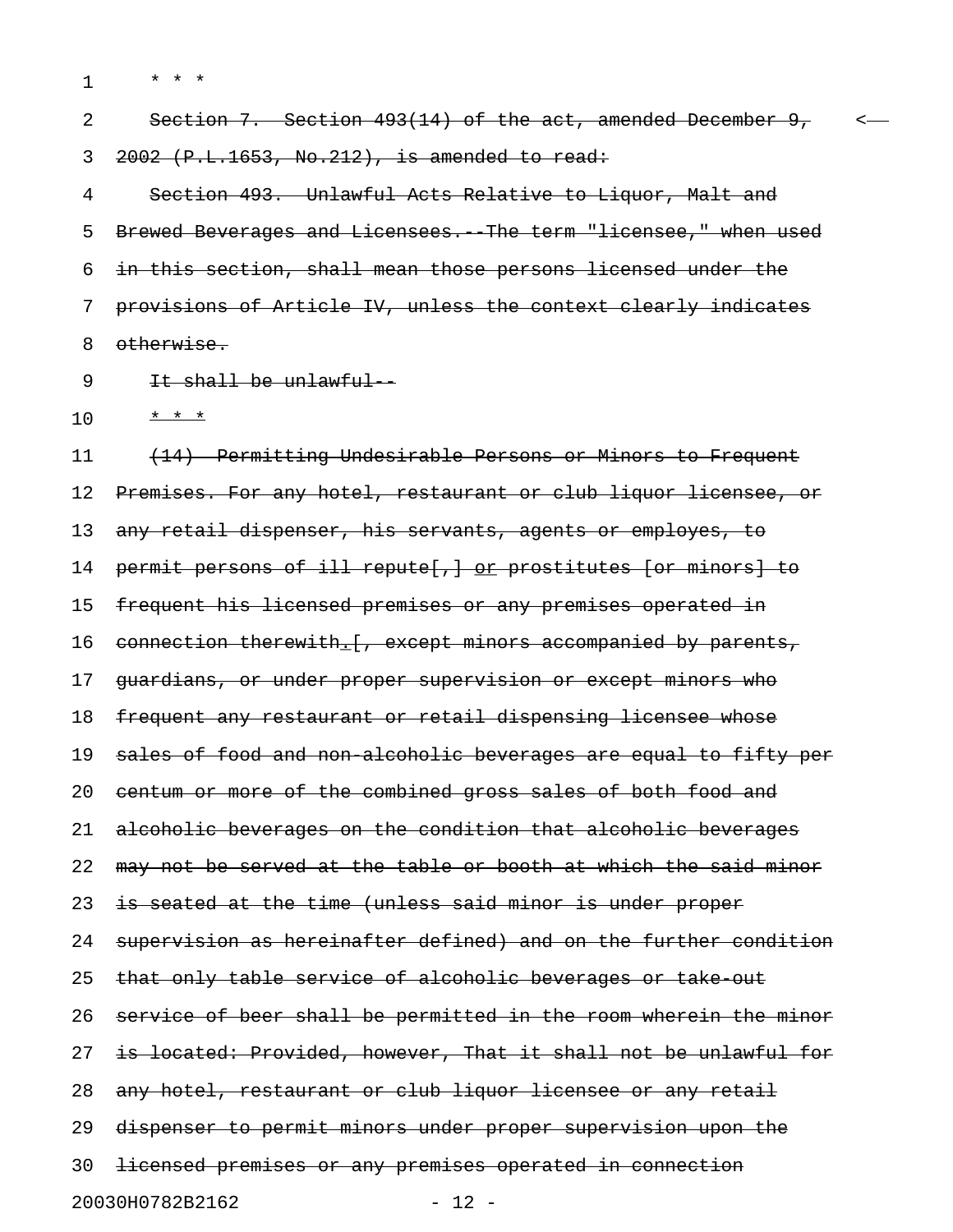$1 \times \star \star \star$ 

2 Section 7. Section 493(14) of the act, amended December 9, < 3 2002 (P.L.1653, No.212), is amended to read:

4 Section 493. Unlawful Acts Relative to Liquor, Malt and 5 Brewed Beverages and Licensees. The term "licensee," when used 6 in this section, shall mean those persons licensed under the 7 provisions of Article IV, unless the context clearly indicates 8 otherwise.

9  $H = \frac{1}{2}$  Tt shall be unlawful -

10 \* \* \* \*

11 (14) Permitting Undesirable Persons or Minors to Frequent 12 Premises. For any hotel, restaurant or club liquor licensee, or 13 any retail dispenser, his servants, agents or employes, to 14 permit persons of ill repute[,] or prostitutes [or minors] to 15 frequent his licensed premises or any premises operated in 16 connection therewith. [, except minors accompanied by parents, 17 guardians, or under proper supervision or except minors who 18 frequent any restaurant or retail dispensing licensee whose 19 sales of food and non alcoholic beverages are equal to fifty per 20 centum or more of the combined gross sales of both food and 21 alcoholic beverages on the condition that alcoholic beverages 22 may not be served at the table or booth at which the said minor 23 is seated at the time (unless said minor is under proper 24 supervision as hereinafter defined) and on the further condition 25 that only table service of alcoholic beverages or take out 26 service of beer shall be permitted in the room wherein the minor 27 is located: Provided, however, That it shall not be unlawful for 28 any hotel, restaurant or club liquor licensee or any retail 29 dispenser to permit minors under proper supervision upon the 30 licensed premises or any premises operated in connection 20030H0782B2162 - 12 -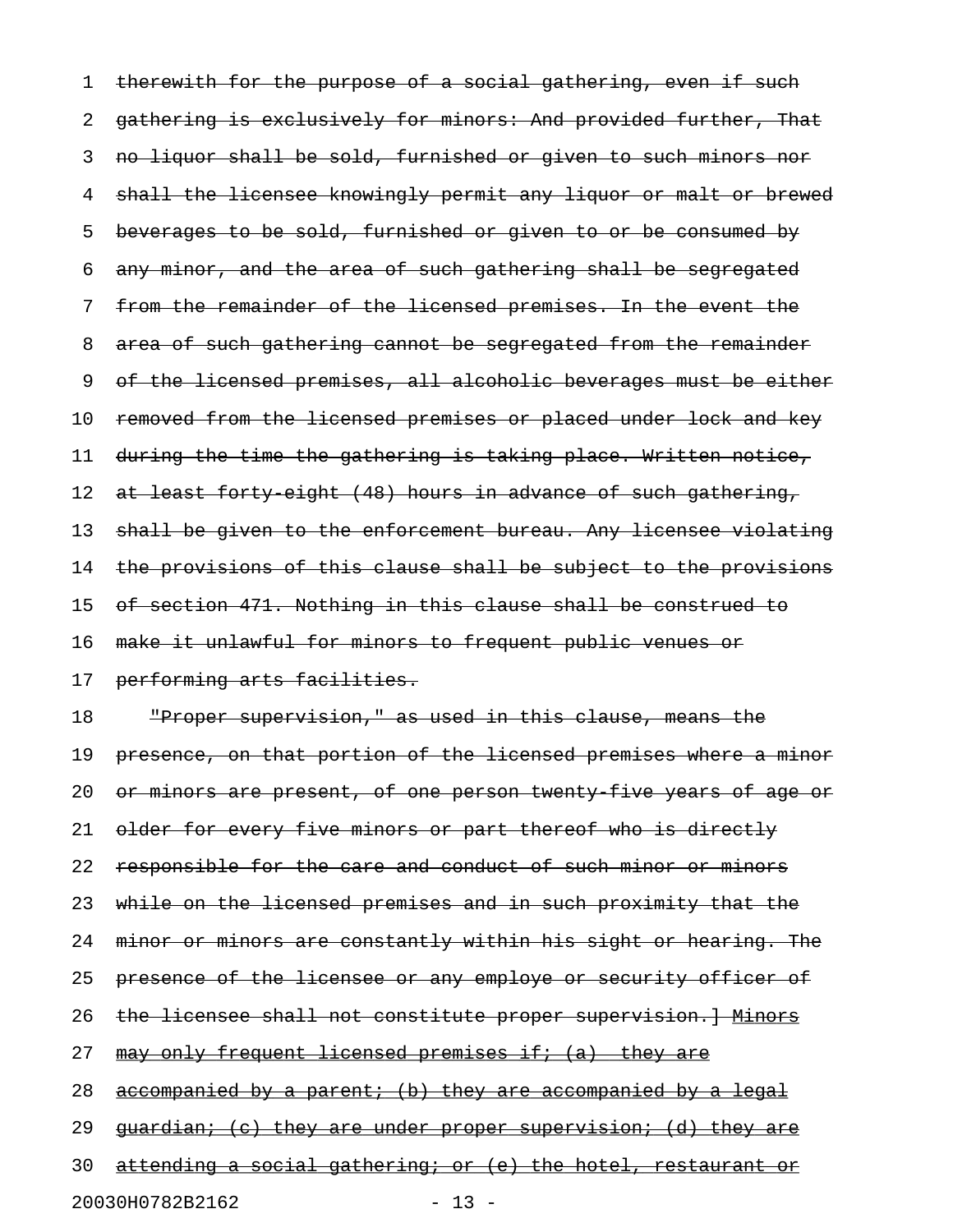1 therewith for the purpose of a social gathering, even if such 2 gathering is exclusively for minors: And provided further, That 3 no liquor shall be sold, furnished or given to such minors nor 4 shall the licensee knowingly permit any liquor or malt or brewed 5 beverages to be sold, furnished or given to or be consumed by 6 any minor, and the area of such gathering shall be segregated 7 from the remainder of the licensed premises. In the event the 8 area of such gathering cannot be segregated from the remainder 9 of the licensed premises, all alcoholic beverages must be either 10 removed from the licensed premises or placed under lock and key 11 during the time the gathering is taking place. Written notice, 12 at least forty eight (48) hours in advance of such gathering, 13 shall be given to the enforcement bureau. Any licensee violating 14 the provisions of this clause shall be subject to the provisions 15 of section 471. Nothing in this clause shall be construed to 16 make it unlawful for minors to frequent public venues or 17 performing arts facilities. 18 "Proper supervision," as used in this clause, means the 19 presence, on that portion of the licensed premises where a minor 20 or minors are present, of one person twenty five years of age or 21 older for every five minors or part thereof who is directly 22 responsible for the care and conduct of such minor or minors 23 while on the licensed premises and in such proximity that the 24 minor or minors are constantly within his sight or hearing. The 25 presence of the licensee or any employe or security officer of 26 the licensee shall not constitute proper supervision. | Minors 27 may only frequent licensed premises if;  $(a)$  they are 28 accompanied by a parent; (b) they are accompanied by a legal 29 quardian; (c) they are under proper supervision; (d) they are 30 attending a social gathering; or (e) the hotel, restaurant or 20030H0782B2162 - 13 -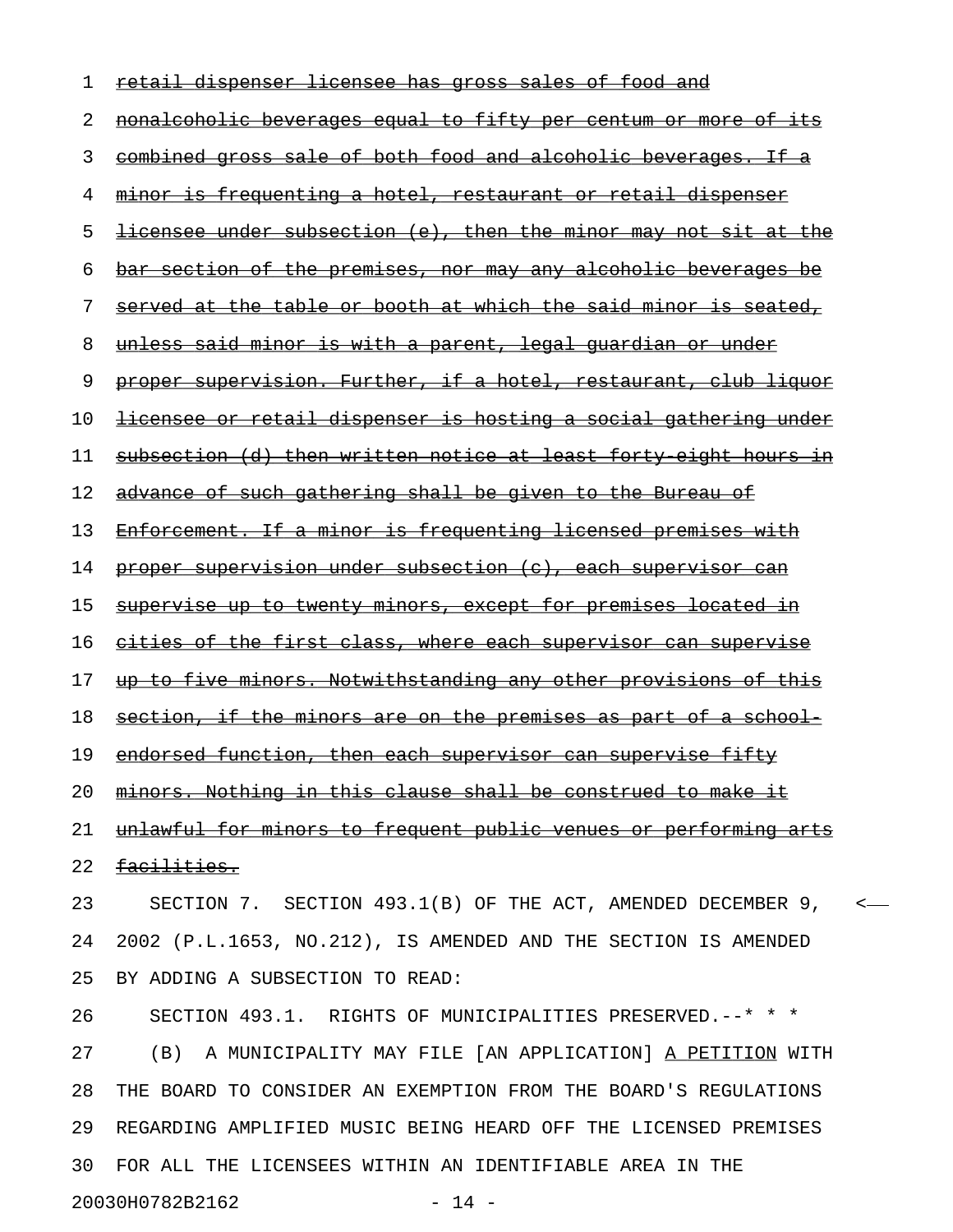| 1  | retail dispenser licensee has gross sales of food and                    |
|----|--------------------------------------------------------------------------|
| 2  | nonalcoholic beverages equal to fifty per centum or more of its          |
| 3  | combined gross sale of both food and alcoholic beverages. If a           |
| 4  | <u>minor is frequenting a hotel, restaurant or retail dispenser</u>      |
| 5  | <u>licensee under subsection (e), then the minor may not sit at the </u> |
| 6  | <u>bar section of the premises, nor may any alcoholic beverages be</u>   |
| 7  | served at the table or booth at which the said minor is seated,          |
| 8  | unless said minor is with a parent, legal guardian or under              |
| 9  | proper supervision. Further, if a hotel, restaurant, club liquor         |
| 10 | licensee or retail dispenser is hosting a social gathering under         |
| 11 | subsection (d) then written notice at least forty eight hours in         |
| 12 | advance of such gathering shall be given to the Bureau of                |
| 13 | Enforcement. If a minor is frequenting licensed premises with            |
| 14 | proper supervision under subsection (c), each supervisor can             |
| 15 | <u>supervise up to twenty minors, except for premises located in</u>     |
| 16 | cities of the first class, where each supervisor can supervise           |
| 17 | up to five minors. Notwithstanding any other provisions of this          |
| 18 | section, if the minors are on the premises as part of a school-          |
| 19 | endorsed function, then each supervisor can supervise fifty              |
| 20 | minors. Nothing in this clause shall be construed to make it             |
| 21 | unlawful for minors to frequent public venues or performing arts         |
| 22 | facilities.                                                              |
| 23 | SECTION 7. SECTION 493.1(B) OF THE ACT, AMENDED DECEMBER 9,              |
| 24 | 2002 (P.L.1653, NO.212), IS AMENDED AND THE SECTION IS AMENDED           |
| 25 | BY ADDING A SUBSECTION TO READ:                                          |
| 26 | SECTION 493.1. RIGHTS OF MUNICIPALITIES PRESERVED.--* * *                |
| 27 | (B) A MUNICIPALITY MAY FILE [AN APPLICATION] A PETITION WITH             |
| 28 | THE BOARD TO CONSIDER AN EXEMPTION FROM THE BOARD'S REGULATIONS          |
| 29 | REGARDING AMPLIFIED MUSIC BEING HEARD OFF THE LICENSED PREMISES          |
| 30 | FOR ALL THE LICENSEES WITHIN AN IDENTIFIABLE AREA IN THE                 |

20030H0782B2162 - 14 -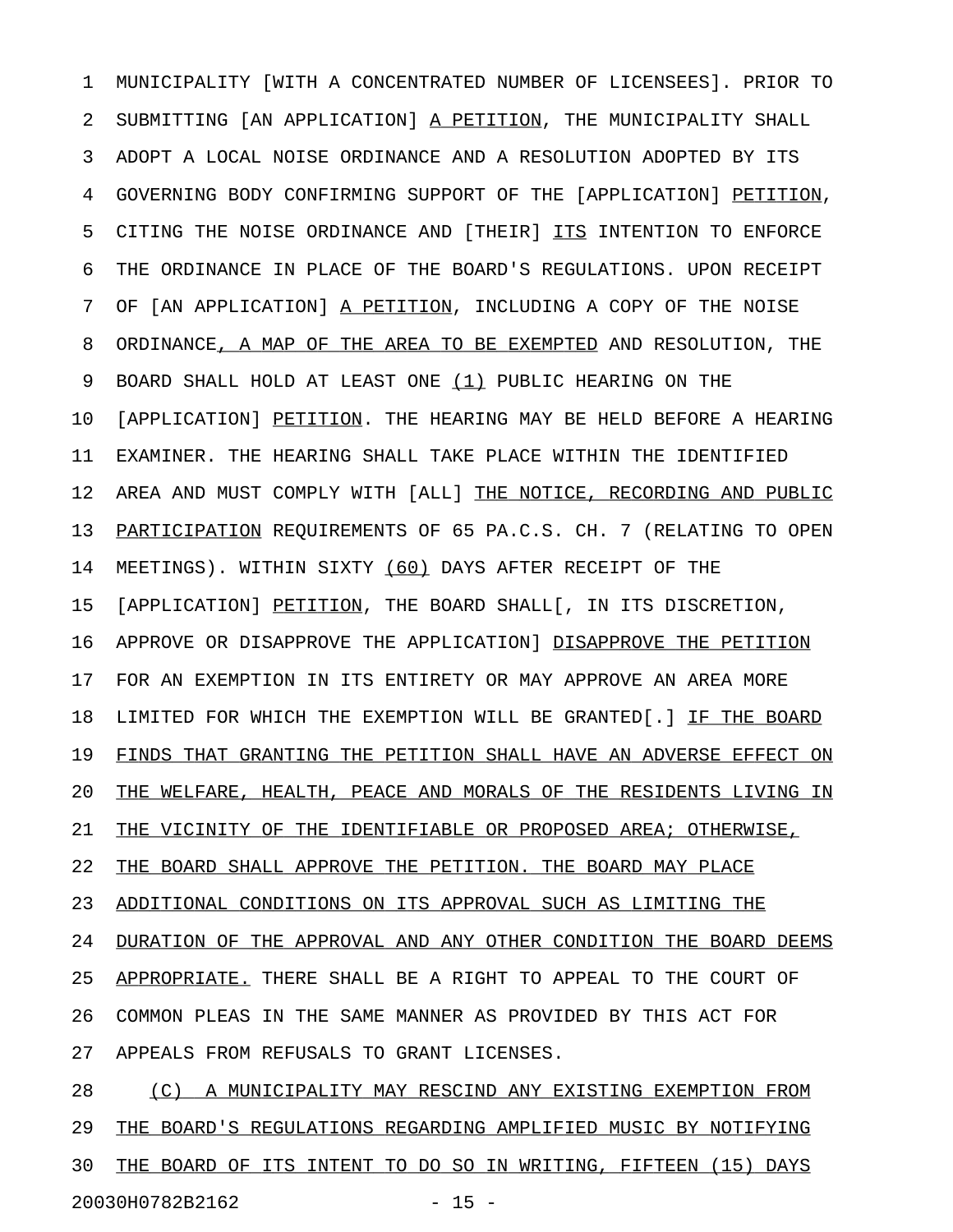1 MUNICIPALITY [WITH A CONCENTRATED NUMBER OF LICENSEES]. PRIOR TO 2 SUBMITTING [AN APPLICATION] A PETITION, THE MUNICIPALITY SHALL 3 ADOPT A LOCAL NOISE ORDINANCE AND A RESOLUTION ADOPTED BY ITS 4 GOVERNING BODY CONFIRMING SUPPORT OF THE [APPLICATION] PETITION, 5 CITING THE NOISE ORDINANCE AND [THEIR] ITS INTENTION TO ENFORCE \_\_\_ 6 THE ORDINANCE IN PLACE OF THE BOARD'S REGULATIONS. UPON RECEIPT 7 OF [AN APPLICATION] A PETITION, INCLUDING A COPY OF THE NOISE 8 ORDINANCE, A MAP OF THE AREA TO BE EXEMPTED AND RESOLUTION, THE 9 BOARD SHALL HOLD AT LEAST ONE (1) PUBLIC HEARING ON THE 10 [APPLICATION] PETITION. THE HEARING MAY BE HELD BEFORE A HEARING 11 EXAMINER. THE HEARING SHALL TAKE PLACE WITHIN THE IDENTIFIED 12 AREA AND MUST COMPLY WITH [ALL] THE NOTICE, RECORDING AND PUBLIC 13 PARTICIPATION REQUIREMENTS OF 65 PA.C.S. CH. 7 (RELATING TO OPEN 14 MEETINGS). WITHIN SIXTY (60) DAYS AFTER RECEIPT OF THE 15 [APPLICATION] PETITION, THE BOARD SHALL[, IN ITS DISCRETION, 16 APPROVE OR DISAPPROVE THE APPLICATION] DISAPPROVE THE PETITION 17 FOR AN EXEMPTION IN ITS ENTIRETY OR MAY APPROVE AN AREA MORE 18 LIMITED FOR WHICH THE EXEMPTION WILL BE GRANTED[.] IF THE BOARD 19 FINDS THAT GRANTING THE PETITION SHALL HAVE AN ADVERSE EFFECT ON 20 THE WELFARE, HEALTH, PEACE AND MORALS OF THE RESIDENTS LIVING IN 21 THE VICINITY OF THE IDENTIFIABLE OR PROPOSED AREA; OTHERWISE, 22 THE BOARD SHALL APPROVE THE PETITION. THE BOARD MAY PLACE 23 ADDITIONAL CONDITIONS ON ITS APPROVAL SUCH AS LIMITING THE 24 DURATION OF THE APPROVAL AND ANY OTHER CONDITION THE BOARD DEEMS 25 APPROPRIATE. THERE SHALL BE A RIGHT TO APPEAL TO THE COURT OF 26 COMMON PLEAS IN THE SAME MANNER AS PROVIDED BY THIS ACT FOR 27 APPEALS FROM REFUSALS TO GRANT LICENSES. 28 (C) A MUNICIPALITY MAY RESCIND ANY EXISTING EXEMPTION FROM 29 THE BOARD'S REGULATIONS REGARDING AMPLIFIED MUSIC BY NOTIFYING

30 THE BOARD OF ITS INTENT TO DO SO IN WRITING, FIFTEEN (15) DAYS 20030H0782B2162 - 15 -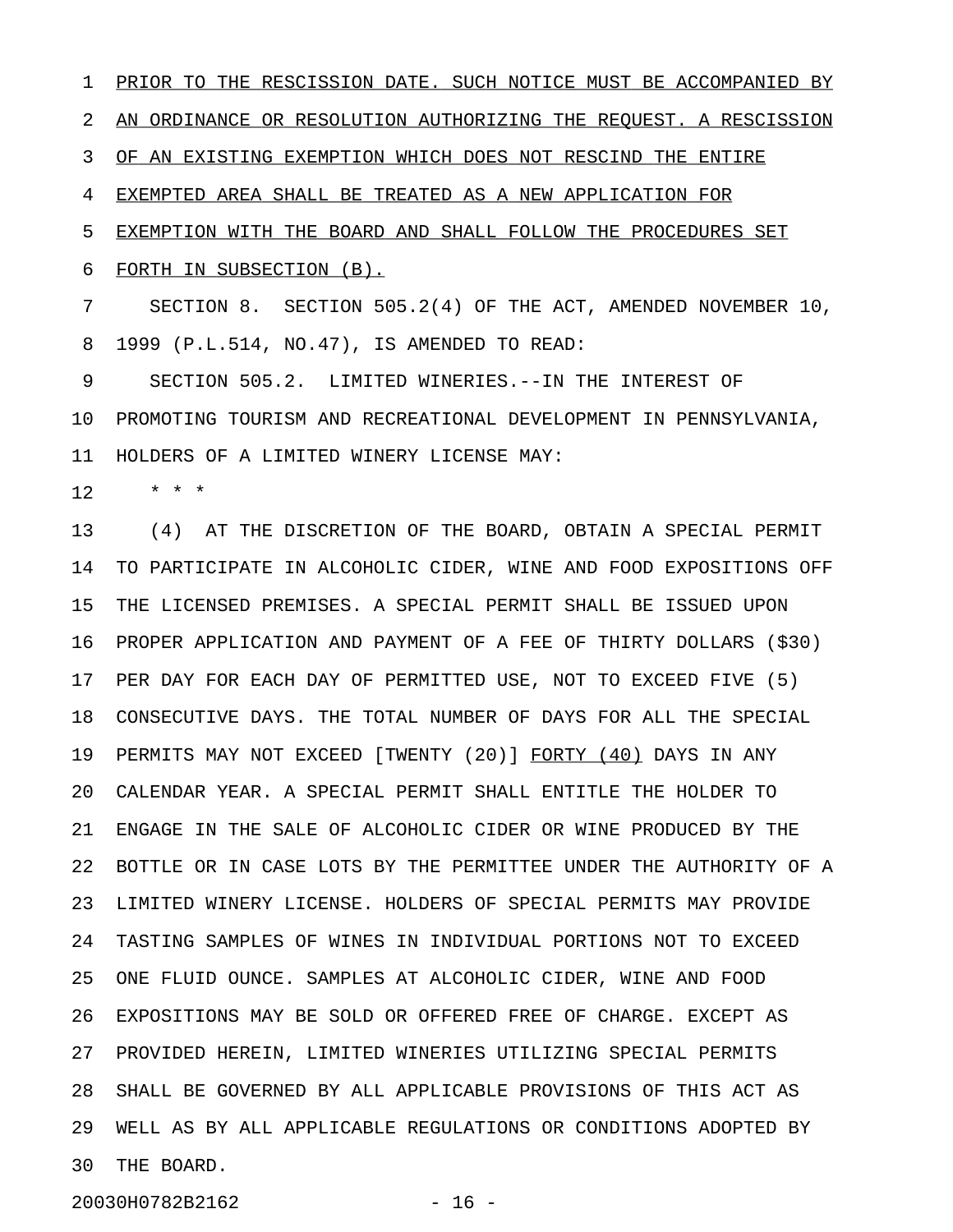1 PRIOR TO THE RESCISSION DATE. SUCH NOTICE MUST BE ACCOMPANIED BY 2 AN ORDINANCE OR RESOLUTION AUTHORIZING THE REQUEST. A RESCISSION 3 OF AN EXISTING EXEMPTION WHICH DOES NOT RESCIND THE ENTIRE 4 EXEMPTED AREA SHALL BE TREATED AS A NEW APPLICATION FOR 5 EXEMPTION WITH THE BOARD AND SHALL FOLLOW THE PROCEDURES SET 6 FORTH IN SUBSECTION (B). 7 SECTION 8. SECTION 505.2(4) OF THE ACT, AMENDED NOVEMBER 10, 8 1999 (P.L.514, NO.47), IS AMENDED TO READ: 9 SECTION 505.2. LIMITED WINERIES.--IN THE INTEREST OF 10 PROMOTING TOURISM AND RECREATIONAL DEVELOPMENT IN PENNSYLVANIA, 11 HOLDERS OF A LIMITED WINERY LICENSE MAY:

 $12 + * * * *$ 

13 (4) AT THE DISCRETION OF THE BOARD, OBTAIN A SPECIAL PERMIT 14 TO PARTICIPATE IN ALCOHOLIC CIDER, WINE AND FOOD EXPOSITIONS OFF 15 THE LICENSED PREMISES. A SPECIAL PERMIT SHALL BE ISSUED UPON 16 PROPER APPLICATION AND PAYMENT OF A FEE OF THIRTY DOLLARS (\$30) 17 PER DAY FOR EACH DAY OF PERMITTED USE, NOT TO EXCEED FIVE (5) 18 CONSECUTIVE DAYS. THE TOTAL NUMBER OF DAYS FOR ALL THE SPECIAL 19 PERMITS MAY NOT EXCEED [TWENTY (20)] FORTY (40) DAYS IN ANY 20 CALENDAR YEAR. A SPECIAL PERMIT SHALL ENTITLE THE HOLDER TO 21 ENGAGE IN THE SALE OF ALCOHOLIC CIDER OR WINE PRODUCED BY THE 22 BOTTLE OR IN CASE LOTS BY THE PERMITTEE UNDER THE AUTHORITY OF A 23 LIMITED WINERY LICENSE. HOLDERS OF SPECIAL PERMITS MAY PROVIDE 24 TASTING SAMPLES OF WINES IN INDIVIDUAL PORTIONS NOT TO EXCEED 25 ONE FLUID OUNCE. SAMPLES AT ALCOHOLIC CIDER, WINE AND FOOD 26 EXPOSITIONS MAY BE SOLD OR OFFERED FREE OF CHARGE. EXCEPT AS 27 PROVIDED HEREIN, LIMITED WINERIES UTILIZING SPECIAL PERMITS 28 SHALL BE GOVERNED BY ALL APPLICABLE PROVISIONS OF THIS ACT AS 29 WELL AS BY ALL APPLICABLE REGULATIONS OR CONDITIONS ADOPTED BY 30 THE BOARD.

20030H0782B2162 - 16 -